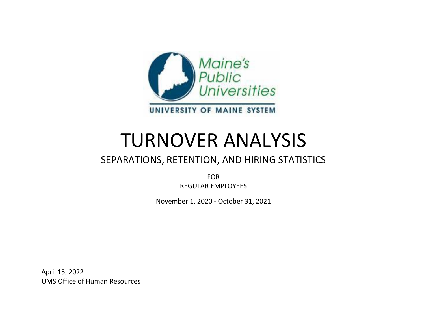

# TURNOVER ANALYSIS

# SEPARATIONS, RETENTION, AND HIRING STATISTICS

FOR REGULAR EMPLOYEES

November 1, 2020 - October 31, 2021

April 15, 2022 UMS Office of Human Resources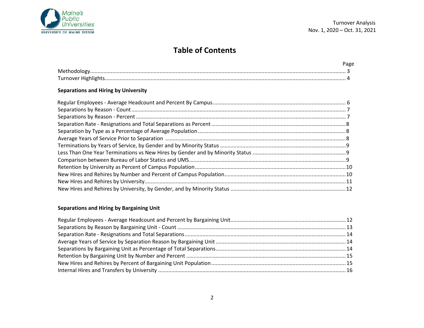

# **Table of Contents**

#### **Separations and Hiring by University**

#### **Separations and Hiring by Bargaining Unit**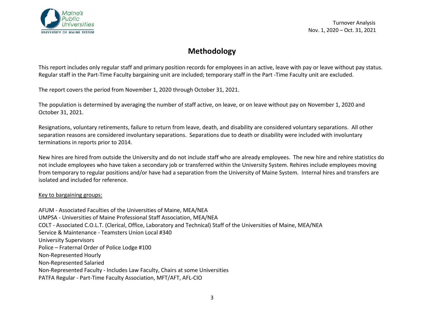

# **Methodology**

This report includes only regular staff and primary position records for employees in an active, leave with pay or leave without pay status. Regular staff in the Part-Time Faculty bargaining unit are included; temporary staff in the Part -Time Faculty unit are excluded.

The report covers the period from November 1, 2020 through October 31, 2021.

The population is determined by averaging the number of staff active, on leave, or on leave without pay on November 1, 2020 and October 31, 2021.

Resignations, voluntary retirements, failure to return from leave, death, and disability are considered voluntary separations. All other separation reasons are considered involuntary separations. Separations due to death or disability were included with involuntary terminations in reports prior to 2014.

New hires are hired from outside the University and do not include staff who are already employees. The new hire and rehire statistics do not include employees who have taken a secondary job or transferred within the University System. Rehires include employees moving from temporary to regular positions and/or have had a separation from the University of Maine System. Internal hires and transfers are isolated and included for reference.

#### Key to bargaining groups:

AFUM - Associated Faculties of the Universities of Maine, MEA/NEA UMPSA - Universities of Maine Professional Staff Association, MEA/NEA COLT - Associated C.O.L.T. (Clerical, Office, Laboratory and Technical) Staff of the Universities of Maine, MEA/NEA Service & Maintenance - Teamsters Union Local #340 University Supervisors Police – Fraternal Order of Police Lodge #100 Non-Represented Hourly Non-Represented Salaried Non-Represented Faculty - Includes Law Faculty, Chairs at some Universities PATFA Regular - Part-Time Faculty Association, MFT/AFT, AFL-CIO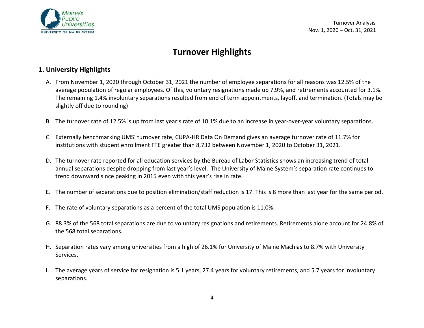

# **Turnover Highlights**

# **1. University Highlights**

- A. From November 1, 2020 through October 31, 2021 the number of employee separations for all reasons was 12.5% of the average population of regular employees. Of this, voluntary resignations made up 7.9%, and retirements accounted for 3.1%. The remaining 1.4% involuntary separations resulted from end of term appointments, layoff, and termination. (Totals may be slightly off due to rounding)
- B. The turnover rate of 12.5% is up from last year's rate of 10.1% due to an increase in year-over-year voluntary separations.
- C. Externally benchmarking UMS' turnover rate, CUPA-HR Data On Demand gives an average turnover rate of 11.7% for institutions with student enrollment FTE greater than 8,732 between November 1, 2020 to October 31, 2021.
- D. The turnover rate reported for all education services by the Bureau of Labor Statistics shows an increasing trend of total annual separations despite dropping from last year's level. The University of Maine System's separation rate continues to trend downward since peaking in 2015 even with this year's rise in rate.
- E. The number of separations due to position elimination/staff reduction is 17. This is 8 more than last year for the same period.
- F. The rate of voluntary separations as a percent of the total UMS population is 11.0%.
- G. 88.3% of the 568 total separations are due to voluntary resignations and retirements. Retirements alone account for 24.8% of the 568 total separations.
- H. Separation rates vary among universities from a high of 26.1% for University of Maine Machias to 8.7% with University Services.
- I. The average years of service for resignation is 5.1 years, 27.4 years for voluntary retirements, and 5.7 years for involuntary separations.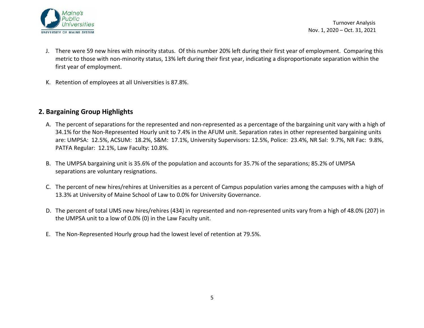

- J. There were 59 new hires with minority status. Of this number 20% left during their first year of employment. Comparing this metric to those with non-minority status, 13% left during their first year, indicating a disproportionate separation within the first year of employment.
- K. Retention of employees at all Universities is 87.8%.

# **2. Bargaining Group Highlights**

- A. The percent of separations for the represented and non-represented as a percentage of the bargaining unit vary with a high of 34.1% for the Non-Represented Hourly unit to 7.4% in the AFUM unit. Separation rates in other represented bargaining units are: UMPSA: 12.5%, ACSUM: 18.2%, S&M: 17.1%, University Supervisors: 12.5%, Police: 23.4%, NR Sal: 9.7%, NR Fac: 9.8%, PATFA Regular: 12.1%, Law Faculty: 10.8%.
- B. The UMPSA bargaining unit is 35.6% of the population and accounts for 35.7% of the separations; 85.2% of UMPSA separations are voluntary resignations.
- C. The percent of new hires/rehires at Universities as a percent of Campus population varies among the campuses with a high of 13.3% at University of Maine School of Law to 0.0% for University Governance.
- D. The percent of total UMS new hires/rehires (434) in represented and non-represented units vary from a high of 48.0% (207) in the UMPSA unit to a low of 0.0% (0) in the Law Faculty unit.
- E. The Non-Represented Hourly group had the lowest level of retention at 79.5%.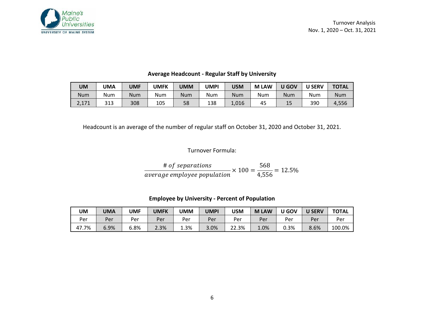

| UM    | JMA | UMF        | UMFK | JMM | UMPI | USM        | <b>LAW</b><br>M | $\overline{\phantom{a}}$ GOV | <b>U SERV</b> | <b>TOTAL</b> |
|-------|-----|------------|------|-----|------|------------|-----------------|------------------------------|---------------|--------------|
| Num   | Num | <b>Num</b> | Num  | Num | Num  | <b>Num</b> | Num             | Num                          | Num           | <b>Num</b>   |
| 2,171 | 313 | 308        | 105  | 58  | 138  | 1,016      | 45              | 15                           | 390           | 4,556        |

#### **Average Headcount - Regular Staff by University**

Headcount is an average of the number of regular staff on October 31, 2020 and October 31, 2021.

# Turnover Formula:

# of separations  
average employee population 
$$
\times
$$
 100 =  $\frac{568}{4,556}$  = 12.5%

**Employee by University - Percent of Population**

| UM         | UMA  | UMF  | UMFK | <b>UMM</b> | UMPI | USM   | <b>LAW</b><br>M | U GOV | <b>U SERV</b> | <b>TOTAL</b> |
|------------|------|------|------|------------|------|-------|-----------------|-------|---------------|--------------|
| Per        | Per  | Per  | Per  | Per        | Per. | Per   | Per             | Per   | Per           | Per          |
| .7%<br>47. | 6.9% | 6.8% | 2.3% | 1.3%       | 3.0% | 22.3% | 1.0%            | 0.3%  | 8.6%          | 100.0%       |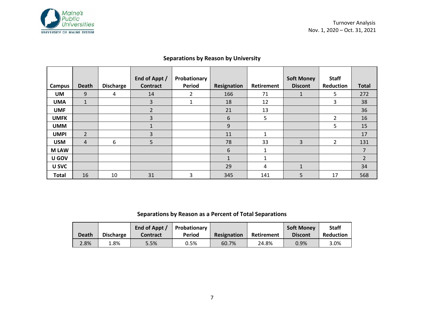

| Campus       | <b>Death</b>   | <b>Discharge</b> | End of Appt /<br><b>Contract</b> | Probationary<br>Period | Resignation  | Retirement | <b>Soft Money</b><br><b>Discont</b> | <b>Staff</b><br>Reduction | <b>Total</b>   |
|--------------|----------------|------------------|----------------------------------|------------------------|--------------|------------|-------------------------------------|---------------------------|----------------|
| UM           | 9              | 4                | 14                               | 2                      | 166          | 71         | 1                                   | 5.                        | 272            |
| <b>UMA</b>   | $\mathbf{1}$   |                  | 3                                | 1                      | 18           | 12         |                                     | 3                         | 38             |
| <b>UMF</b>   |                |                  | $\mathcal{L}$                    |                        | 21           | 13         |                                     |                           | 36             |
| <b>UMFK</b>  |                |                  | 3                                |                        | 6            | 5          |                                     | $\mathcal{L}$             | 16             |
| <b>UMM</b>   |                |                  | $\mathbf{\Lambda}$               |                        | 9            |            |                                     | 5                         | 15             |
| <b>UMPI</b>  | $\overline{2}$ |                  | 3                                |                        | 11           | 1          |                                     |                           | 17             |
| <b>USM</b>   | $\overline{4}$ | 6                | 5                                |                        | 78           | 33         | 3                                   | $\mathcal{L}$             | 131            |
| <b>MLAW</b>  |                |                  |                                  |                        | 6            | 1          |                                     |                           | 7              |
| U GOV        |                |                  |                                  |                        | $\mathbf{1}$ | 1          |                                     |                           | $\overline{2}$ |
| U SVC        |                |                  |                                  |                        | 29           | 4          | $\mathbf{1}$                        |                           | 34             |
| <b>Total</b> | 16             | 10               | 31                               | 3                      | 345          | 141        | 5                                   | 17                        | 568            |

## **Separations by Reason by University**

## **Separations by Reason as a Percent of Total Separations**

|       |                  | End of Appt /   | Probationary |             |            | <b>Soft Money</b> | <b>Staff</b> |
|-------|------------------|-----------------|--------------|-------------|------------|-------------------|--------------|
| Death | <b>Discharge</b> | <b>Contract</b> | Period       | Resignation | Retirement | <b>Discont</b>    | Reduction    |
| 2.8%  | 3%،              | 5.5%            | 0.5%         | 60.7%       | 24.8%      | 0.9%              | 3.0%         |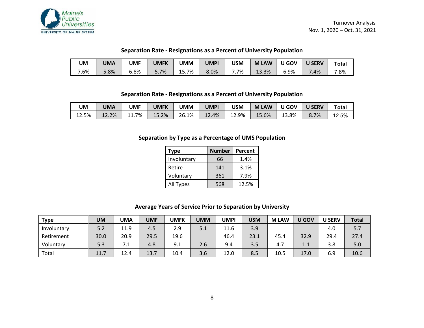

#### **Separation Rate - Resignations as a Percent of University Population**

| UM  | UMA  | UMF  | UMFK | UMM   | UMPI | USM | <b>LAW</b><br>M | U GOV | <b>SERV</b> | Total |
|-----|------|------|------|-------|------|-----|-----------------|-------|-------------|-------|
| .6% | 5.8% | 8%،د | 5.7% | 15.7% | 8.0% | .7% | 13.3%           | 6.9%  | .4%         | 7.6%  |

#### **Separation Rate - Resignations as a Percent of University Population**

| UM                 | UMA   | UMF     | UMFK  | UMM   | <b>UMPI</b> | <b>USM</b> | <b>LAW</b><br>M | <b>U GOV</b> | <b>U SERV</b> | Total |
|--------------------|-------|---------|-------|-------|-------------|------------|-----------------|--------------|---------------|-------|
| <b>12.5%</b><br>12 | 12.2% | $1.7\%$ | 15.2% | 26.1% | $12.4\%$    | 12.9%      | 15.6%           | 3.8%         | 8.7%          | 12.5% |

#### **Separation by Type as a Percentage of UMS Population**

| Type        | <b>Number</b> | Percent |
|-------------|---------------|---------|
| Involuntary | 66            | 1.4%    |
| Retire      | 141           | 3.1%    |
| Voluntary   | 361           | 7.9%    |
| All Types   | 568           | 12.5%   |

#### **Average Years of Service Prior to Separation by University**

| <b>Type</b> | UM   | UMA  | <b>UMF</b> | <b>UMFK</b> | <b>UMM</b> | UMPI | <b>USM</b> | <b>MLAW</b> | U GOV | <b>U SERV</b> | <b>Total</b> |
|-------------|------|------|------------|-------------|------------|------|------------|-------------|-------|---------------|--------------|
| Involuntary | 5.2  | 11.9 | 4.5        | 2.9         | 5.1        | 11.6 | 3.9        |             |       | 4.0           | 5.7          |
| Retirement  | 30.0 | 20.9 | 29.5       | 19.6        |            | 46.4 | 23.1       | 45.4        | 32.9  | 29.4          | 27.4         |
| Voluntary   | 5.3  | . L  | 4.8        | 9.1         | 2.6        | 9.4  | 3.5        | 4.7         | 1.1   | 3.8           | 5.0          |
| Total       | 11.7 | 12.4 | 13.7       | 10.4        | 3.6        | 12.0 | 8.5        | 10.5        | 17.0  | 6.9           | 10.6         |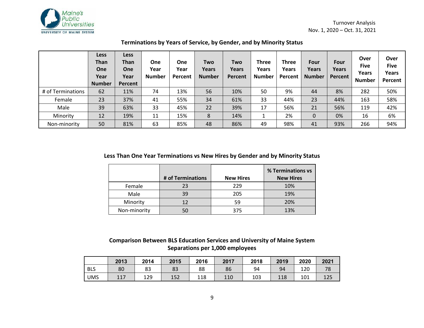

|                   | <b>Less</b><br><b>Than</b><br><b>One</b><br>Year<br><b>Number</b> | Less<br><b>Than</b><br><b>One</b><br>Year<br>Percent | <b>One</b><br>Year<br><b>Number</b> | One<br>Year<br>Percent | Two<br>Years<br><b>Number</b> | Two<br>Years<br>Percent | Three<br>Years<br>Number | <b>Three</b><br>Years<br>Percent | Four<br>Years<br><b>Number</b> | Four<br>Years<br>Percent | Over<br><b>Five</b><br>Years<br><b>Number</b> | Over<br><b>Five</b><br>Years<br>Percent |
|-------------------|-------------------------------------------------------------------|------------------------------------------------------|-------------------------------------|------------------------|-------------------------------|-------------------------|--------------------------|----------------------------------|--------------------------------|--------------------------|-----------------------------------------------|-----------------------------------------|
| # of Terminations | 62                                                                | 11%                                                  | 74                                  | 13%                    | 56                            | 10%                     | 50                       | 9%                               | 44                             | 8%                       | 282                                           | 50%                                     |
| Female            | 23                                                                | 37%                                                  | 41                                  | 55%                    | 34                            | 61%                     | 33                       | 44%                              | 23                             | 44%                      | 163                                           | 58%                                     |
| Male              | 39                                                                | 63%                                                  | 33                                  | 45%                    | 22                            | 39%                     | 17                       | 56%                              | 21                             | 56%                      | 119                                           | 42%                                     |
| Minority          | 12                                                                | 19%                                                  | 11                                  | 15%                    | 8                             | 14%                     |                          | 2%                               | 0                              | 0%                       | 16                                            | 6%                                      |
| Non-minority      | 50                                                                | 81%                                                  | 63                                  | 85%                    | 48                            | 86%                     | 49                       | 98%                              | 41                             | 93%                      | 266                                           | 94%                                     |

# **Terminations by Years of Service, by Gender, and by Minority Status**

#### **Less Than One Year Terminations vs New Hires by Gender and by Minority Status**

|              | # of Terminations | <b>New Hires</b> | % Terminations vs<br><b>New Hires</b> |
|--------------|-------------------|------------------|---------------------------------------|
| Female       | 23                | 229              | 10%                                   |
| Male         | 39                | 205              | 19%                                   |
| Minority     | 12                | 59               | 20%                                   |
| Non-minority | 50                | 375              | 13%                                   |

### **Comparison Between BLS Education Services and University of Maine System Separations per 1,000 employees**

|            | 2013 | 2014 | 2015 | 2016 | 2017 | 2018 | 2019 | 2020 | 2021 |
|------------|------|------|------|------|------|------|------|------|------|
| <b>BLS</b> | 80   | ၀၁   | 83   | 88   | 86   | 94   | 94   | 120  | 78   |
| <b>UMS</b> | 117  | 129  | 152  | 118  | 110  | 103  | 118  | 101  | 125  |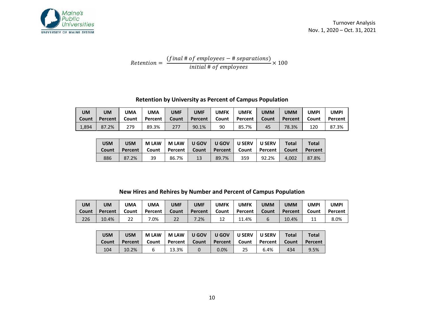

Retention = (final # of employees  $-$  # separations)  $\#$  of employees  $\times 100$ 

#### **Retention by University as Percent of Campus Population**

| <b>UM</b> | UM      | <b>JMA</b> | <b>UMA</b> | <b>UMF</b> | UMF     | UMFK  | UMFK    | UMM   | <b>UMM</b> | UMPI  | UMPI    |
|-----------|---------|------------|------------|------------|---------|-------|---------|-------|------------|-------|---------|
| Count     | Percent | Count      | Percent    | Count      | Percent | Count | Percent | Count | Percent    | Count | Percent |
| 1,894     | 87.2%   | 279        | 89.3%      | 277        | 90.1%   | 90    | 85.7%   | 45    | 78.3%      | 120   | 87.3%   |

| USM<br><b>Count</b> | USM<br><b>Percent</b> | <b>MLAW</b> | <b>MLAW</b><br>Count   Percent |    | UGOV   UGOV   USERV |     | <b>U SERV</b><br>Count   Percent   Count   Percent | <b>Total</b><br>Count | Total<br>Percent |
|---------------------|-----------------------|-------------|--------------------------------|----|---------------------|-----|----------------------------------------------------|-----------------------|------------------|
| 886                 | 87.2%                 | 39          | 86.7%                          | 13 | 89.7%               | 359 | 92.2%                                              | 4.002                 | 87.8%            |

#### **New Hires and Rehires by Number and Percent of Campus Population**

| <b>UM</b> | UM      | <b>JMA</b>   | UMA     | <b>UMF</b> | <b>UMF</b> | UMFK  | UMFK    | UMM   | UMM     | UMPI  | <b>UMPI</b> |
|-----------|---------|--------------|---------|------------|------------|-------|---------|-------|---------|-------|-------------|
| Count     | Percent | Count        | Percent | Count      | Percent    | Count | Percent | Count | Percent | Count | Percent     |
| 226       | 10.4%   | $\sim$<br>∠∠ | '.0%    | 22         | $7.2\%$    | 12    | 11.4%   |       | 10.4%   | ᆠ     | 8.0%        |

| <b>USM</b> | USM     | <b>MLAW</b> | <b>MLAW</b> | U GOV | U GOV            | <b>U SERV</b> | U SERV           | <b>Total</b> | Total   |
|------------|---------|-------------|-------------|-------|------------------|---------------|------------------|--------------|---------|
| Count      | Percent | Count       | Percent     | Count | <b>Percent</b> I | Count l       | Percent <i>™</i> | Count        | Percent |
| 104        | 10.2%   |             | 13.3%       |       | $0.0\%$          | 25            | 6.4%             | 434          | 9.5%    |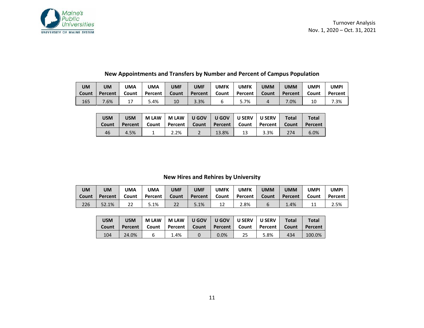

| <b>UM</b> | UM      | UMA      | UMA     | <b>UMF</b> | <b>UMF</b> | UMFK  | UMFK    | <b>UMM</b> | <b>UMM</b> | UMPI  | UMPI    |
|-----------|---------|----------|---------|------------|------------|-------|---------|------------|------------|-------|---------|
| Count     | Percent | Count    | Percent | Count      | Percent    | Count | Percent | Count      | Percent    | Count | Percent |
| 165       | .6%     | <b>.</b> | 5.4%    | 10         | 3.3%       | n     | 5.7%    |            | $.0\%$     | 10    | $.3\%$  |

# **New Appointments and Transfers by Number and Percent of Campus Population**

| USM<br>Count | USM<br><b>Percent</b> I | <b>M LAW</b><br>Count |      | MLAW   UGOV   UGOV   USERV<br>  Percent   Count   Percent   Count   Percent   Count |    | <b>U SERV</b> | <b>Total</b> | <b>Total</b><br>Percent |
|--------------|-------------------------|-----------------------|------|-------------------------------------------------------------------------------------|----|---------------|--------------|-------------------------|
| 46           | 4.5%                    |                       | 2.2% | 13.8%                                                                               | 13 | 3.3%          | 274          | 6.0%                    |

## **New Hires and Rehires by University**

| <b>UM</b> | UM      | <b>UMA</b>   | UMA     | <b>UMF</b> | UMF     | UMFK  | UMFK    | <b>UMM</b> | UMM     | UMPI  | UMPI    |
|-----------|---------|--------------|---------|------------|---------|-------|---------|------------|---------|-------|---------|
| Count     | Percent | Count        | Percent | Count      | Percent | Count | Percent | Count      | Percent | Count | Percent |
| 226       | √2.1%   | $\sim$<br>22 | 5.1%    | 22         | 5.1%    | 12    | 2.8%    |            | $1.4\%$ | ᆠ     | 2.5%    |

| <b>USM</b><br><b>Count</b> | <b>USM</b> | <b>MLAW</b> |      | MLAW UGOV UGOV USERV USERV<br>Percent   Count   Percent   Count   Percent   Count   Percent   Count |    |      | <b>Total</b> | Total<br>Percent |
|----------------------------|------------|-------------|------|-----------------------------------------------------------------------------------------------------|----|------|--------------|------------------|
| 104                        | 24.0%      | ь           | 1.4% | $0.0\%$                                                                                             | 25 | 5.8% | 434          | 100.0%           |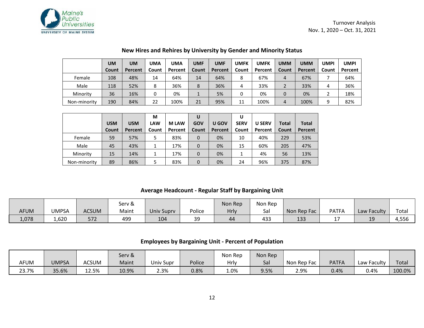

|              | UM    | UM      | UMA   | <b>UMA</b> | UMF   | <b>UMF</b> | <b>UMFK</b> | UMFK    | <b>UMM</b> | <b>UMM</b> | <b>UMPI</b> | UMPI    |
|--------------|-------|---------|-------|------------|-------|------------|-------------|---------|------------|------------|-------------|---------|
|              | Count | Percent | Count | Percent    | Count | Percent    | Count       | Percent | Count      | Percent    | Count       | Percent |
| Female       | 108   | 48%     | 14    | 64%        | 14    | 64%        | 8           | 67%     | 4          | 67%        |             | 64%     |
| Male         | 118   | 52%     | 8     | 36%        | 8     | 36%        | 4           | 33%     |            | 33%        | 4           | 36%     |
| Minority     | 36    | 16%     |       | 0%         |       | 5%         | 0           | 0%      | 0          | 0%         |             | 18%     |
| Non-minority | 190   | 84%     | 22    | 100%       | 21    | 95%        | 11          | 100%    | 4          | 100%       | 9           | 82%     |

#### **New Hires and Rehires by University by Gender and Minority Status**

|              |            |            | M          |             |          |         | U           |               |              |              |
|--------------|------------|------------|------------|-------------|----------|---------|-------------|---------------|--------------|--------------|
|              | <b>USM</b> | <b>USM</b> | <b>LAW</b> | <b>MLAW</b> | GOV      | U GOV   | <b>SERV</b> | <b>U SERV</b> | <b>Total</b> | <b>Total</b> |
|              | Count      | Percent    | Count      | Percent     | Count    | Percent | Count       | Percent       | Count        | Percent      |
| Female       | 59         | 57%        | 5          | 83%         | $\Omega$ | 0%      | 10          | 40%           | 229          | 53%          |
| Male         | 45         | 43%        | 1          | 17%         | $\Omega$ | 0%      | 15          | 60%           | 205          | 47%          |
| Minority     | 15         | 14%        |            | 17%         | $\Omega$ | 0%      |             | 4%            | 56           | 13%          |
| Non-minority | 89         | 86%        | 5          | 83%         | $\Omega$ | 0%      | 24          | 96%           | 375          | 87%          |

#### **Average Headcount - Regular Staff by Bargaining Unit**

|             |       |              | Serv & |            |             | Non Rep | Non Rep |             |              |                      |                        |
|-------------|-------|--------------|--------|------------|-------------|---------|---------|-------------|--------------|----------------------|------------------------|
| <b>AFUM</b> | UMPSA | <b>ACSUM</b> | Maint  | Univ Supry | Police      | Hrly    | Sal     | Non Rep Fac | <b>PATFA</b> | Law Faculty          | Totai                  |
| 1,078       | 1,620 | 572          | 499    | 104        | $\sim$<br>ー | 44      | 433     | 133         |              | 1 <sup>°</sup><br>-- | $  \sim$<br>6לכ,⊦<br>⊶ |

#### **Employees by Bargaining Unit - Percent of Population**

|       |              |              | Serv & |                  |        | Non Rep | Non Rep |             |              |             |        |
|-------|--------------|--------------|--------|------------------|--------|---------|---------|-------------|--------------|-------------|--------|
| AFUM  | <b>UMPSA</b> | <b>ACSUM</b> | Maint  | <b>Jniv Supr</b> | Police | Hrly    | Sa      | Non Rep Fac | <b>PATFA</b> | Law Faculty | Total  |
| 23.7% | 35.6%        | 12.5%        | 10.9%  | 2.3%             | 0.8%   | 1.0%    | 9.5%    | 2.9%        | 0.4%         | 0.4%        | 100.0% |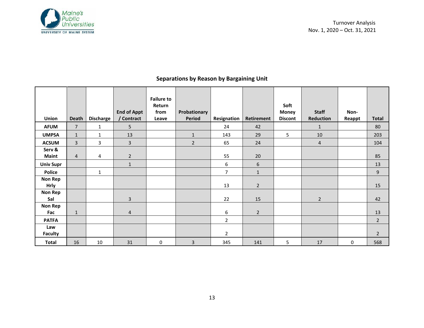

|                  |                         |                  |                    | <b>Failure to</b> |                |                |                |                |                  |        |                |
|------------------|-------------------------|------------------|--------------------|-------------------|----------------|----------------|----------------|----------------|------------------|--------|----------------|
|                  |                         |                  |                    | Return            |                |                |                | Soft           |                  |        |                |
|                  |                         |                  | <b>End of Appt</b> | from              | Probationary   |                |                | <b>Money</b>   | <b>Staff</b>     | Non-   |                |
| <b>Union</b>     | Death                   | <b>Discharge</b> | / Contract         | Leave             | <b>Period</b>  | Resignation    | Retirement     | <b>Discont</b> | <b>Reduction</b> | Reappt | <b>Total</b>   |
| <b>AFUM</b>      | $\overline{7}$          | $\mathbf{1}$     | 5                  |                   |                | 24             | 42             |                | $\mathbf{1}$     |        | 80             |
| <b>UMPSA</b>     | $\mathbf{1}$            | $\mathbf{1}$     | 13                 |                   | $\mathbf{1}$   | 143            | 29             | 5              | 10               |        | 203            |
| <b>ACSUM</b>     | $\overline{\mathbf{3}}$ | 3                | $\overline{3}$     |                   | $\overline{2}$ | 65             | 24             |                | $\overline{4}$   |        | 104            |
| Serv &           |                         |                  |                    |                   |                |                |                |                |                  |        |                |
| <b>Maint</b>     | $\overline{4}$          | 4                | $\overline{2}$     |                   |                | 55             | 20             |                |                  |        | 85             |
| <b>Univ Supr</b> |                         |                  | $\mathbf{1}$       |                   |                | 6              | 6              |                |                  |        | 13             |
| <b>Police</b>    |                         | $\mathbf{1}$     |                    |                   |                | 7              | $\mathbf{1}$   |                |                  |        | 9              |
| <b>Non Rep</b>   |                         |                  |                    |                   |                |                |                |                |                  |        |                |
| <b>Hrly</b>      |                         |                  |                    |                   |                | 13             | $\overline{2}$ |                |                  |        | 15             |
| <b>Non Rep</b>   |                         |                  |                    |                   |                |                |                |                |                  |        |                |
| Sal              |                         |                  | 3                  |                   |                | 22             | 15             |                | $\overline{2}$   |        | 42             |
| <b>Non Rep</b>   |                         |                  |                    |                   |                |                |                |                |                  |        |                |
| Fac              | $\mathbf{1}$            |                  | $\overline{4}$     |                   |                | 6              | $\overline{2}$ |                |                  |        | 13             |
| <b>PATFA</b>     |                         |                  |                    |                   |                | $\overline{2}$ |                |                |                  |        | $\overline{2}$ |
| Law              |                         |                  |                    |                   |                |                |                |                |                  |        |                |
| <b>Faculty</b>   |                         |                  |                    |                   |                | $\overline{2}$ |                |                |                  |        | $\overline{2}$ |
| <b>Total</b>     | 16                      | 10               | 31                 | 0                 | 3              | 345            | 141            | 5              | 17               | 0      | 568            |

# **Separations by Reason by Bargaining Unit**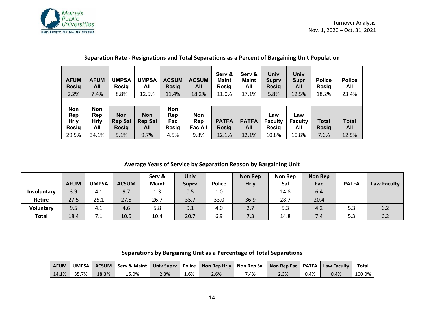

| <b>AFUM</b><br><b>Resig</b> | <b>AFUM</b><br>All | <b>UMPSA</b><br><b>Resig</b>   | <b>UMPSA</b><br>All   | <b>ACSUM</b><br><b>Resig</b> | <b>ACSUM</b><br>All   | Serv &<br><b>Maint</b><br><b>Resig</b> | Serv &<br><b>Maint</b><br>All | Univ<br>Supry<br><b>Resig</b>  | Univ<br><b>Supr</b><br>All | <b>Police</b><br>Resig | <b>Police</b><br>All |
|-----------------------------|--------------------|--------------------------------|-----------------------|------------------------------|-----------------------|----------------------------------------|-------------------------------|--------------------------------|----------------------------|------------------------|----------------------|
| 2.2%                        | 7.4%               | 8.8%                           | 12.5%                 | 11.4%                        | 18.2%                 | 11.0%                                  | 17.1%                         | 5.8%                           | 12.5%                      | 18.2%                  | 23.4%                |
|                             |                    |                                |                       |                              |                       |                                        |                               |                                |                            |                        |                      |
| <b>Non</b>                  | <b>Non</b>         |                                |                       | <b>Non</b>                   |                       |                                        |                               |                                |                            |                        |                      |
| Rep                         | Rep                | <b>Non</b>                     | <b>Non</b>            | Rep                          | <b>Non</b>            |                                        |                               | Law                            | Law                        |                        |                      |
| <b>Hrly</b><br><b>Resig</b> | <b>Hrly</b><br>All | <b>Rep Sal</b><br><b>Resig</b> | <b>Rep Sal</b><br>All | Fac<br>Resig                 | Rep<br><b>Fac All</b> | <b>PATFA</b><br><b>Resig</b>           | <b>PATFA</b><br>All           | <b>Faculty</b><br><b>Resig</b> | <b>Faculty</b><br>All      | <b>Total</b><br>Resig  | <b>Total</b><br>All  |
|                             |                    |                                |                       |                              |                       |                                        |                               |                                |                            |                        |                      |
| 29.5%                       | 34.1%              | 5.1%                           | 9.7%                  | 4.5%                         | 9.8%                  | 12.1%                                  | 12.1%                         | 10.8%                          | 10.8%                      | 7.6%                   | 12.5%                |

#### **Separation Rate - Resignations and Total Separations as a Percent of Bargaining Unit Population**

#### **Average Years of Service by Separation Reason by Bargaining Unit**

|                  |             |              |              | Serv &       | Univ         |               | <b>Non Rep</b> | <b>Non Rep</b> | <b>Non Rep</b> |              |             |
|------------------|-------------|--------------|--------------|--------------|--------------|---------------|----------------|----------------|----------------|--------------|-------------|
|                  | <b>AFUM</b> | <b>UMPSA</b> | <b>ACSUM</b> | <b>Maint</b> | <b>Suprv</b> | <b>Police</b> | <b>Hrly</b>    | Sal            | Fac            | <b>PATFA</b> | Law Faculty |
| Involuntary      | 3.9         | 4.1          | 9.7          | 1.3          | 0.5          | 1.0           |                | 14.8           | 6.4            |              |             |
| <b>Retire</b>    | 27.5        | 25.1         | 27.5         | 26.7         | 35.7         | 33.0          | 36.9           | 28.7           | 20.4           |              |             |
| <b>Voluntary</b> | 9.5         | 4.1          | 4.6          | 5.8          | 9.1          | 4.0           | 2.7            | 5.3            | 4.2            | 5.3          | 6.2         |
| <b>Total</b>     | 18.4        | 7.1          | 10.5         | 10.4         | 20.7         | 6.9           | 7.3            | 14.8           | 7.4            | 5.3          | 6.2         |

#### **Separations by Bargaining Unit as a Percentage of Total Separations**

| <b>AFUM</b>    |       |       |      |     | UMPSA   ACSUM   Serv & Maint   Univ Suprv   Police   Non Rep Hrly   Non Rep Sal   Non Rep Fac   PATFA   Law Faculty |      |      |      |      | <b>Total</b> |
|----------------|-------|-------|------|-----|---------------------------------------------------------------------------------------------------------------------|------|------|------|------|--------------|
| $14.1\%$ 35.7% | 18.3% | 15.0% | 2.3% | 5%، | 2.6%                                                                                                                | 7.4% | 2.3% | 3.4% | 0.4% | 100.0%       |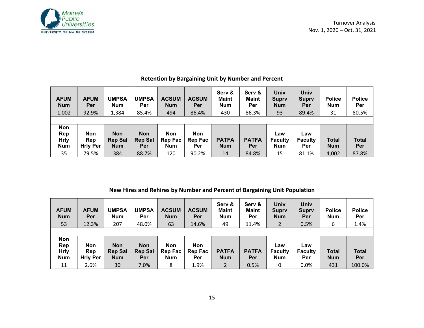

| <b>AFUM</b><br><b>Num</b> | <b>AFUM</b><br>Per | <b>UMPSA</b><br><b>Num</b> | <b>UMPSA</b><br>Per | <b>ACSUM</b><br><b>Num</b> | <b>ACSUM</b><br><b>Per</b> | Serv &<br><b>Maint</b><br><b>Num</b> | Serv &<br><b>Maint</b><br>Per | Univ<br><b>Suprv</b><br><b>Num</b> | Univ<br><b>Suprv</b><br>Per | <b>Police</b><br><b>Num</b> | <b>Police</b><br>Per |
|---------------------------|--------------------|----------------------------|---------------------|----------------------------|----------------------------|--------------------------------------|-------------------------------|------------------------------------|-----------------------------|-----------------------------|----------------------|
| 1,002                     | 92.9%              | 1,384                      | 85.4%               | 494                        | 86.4%                      | 430                                  | 86.3%                         | 93                                 | 89.4%                       | 31                          | 80.5%                |
|                           |                    |                            |                     |                            |                            |                                      |                               |                                    |                             |                             |                      |
| Non                       |                    |                            |                     |                            |                            |                                      |                               |                                    |                             |                             |                      |
| Rep                       | <b>Non</b>         | <b>Non</b>                 | <b>Non</b>          | <b>Non</b>                 | <b>Non</b>                 |                                      |                               | Law                                | Law                         |                             |                      |
| <b>Hrly</b>               | Rep                | <b>Rep Sal</b>             | <b>Rep Sal</b>      | Rep Fac                    | Rep Fac                    | <b>PATFA</b>                         | <b>PATFA</b>                  | <b>Faculty</b>                     | <b>Faculty</b>              | <b>Total</b>                | <b>Total</b>         |
| <b>Num</b>                | <b>Hrly Per</b>    | <b>Num</b>                 | Per                 | <b>Num</b>                 | Per                        | <b>Num</b>                           | Per                           | <b>Num</b>                         | Per                         | <b>Num</b>                  | Per                  |
| 35                        | 79.5%              | 384                        | 88.7%               | 120                        | 90.2%                      | 14                                   | 84.8%                         | 15                                 | 81.1%                       | 4,002                       | 87.8%                |

#### **Retention by Bargaining Unit by Number and Percent**

#### **New Hires and Rehires by Number and Percent of Bargaining Unit Population**

| <b>AFUM</b><br><b>Num</b>                      | <b>AFUM</b><br>Per                   | UMPSA<br><b>Num</b>                        | <b>UMPSA</b><br>Per                 | <b>ACSUM</b><br><b>Num</b>          | <b>ACSUM</b><br>Per                 | Serv &<br><b>Maint</b><br><b>Num</b> | Serv &<br><b>Maint</b><br>Per | Univ<br><b>Suprv</b><br><b>Num</b>  | Univ<br><b>Suprv</b><br>Per  | <b>Police</b><br><b>Num</b> | <b>Police</b><br>Per |
|------------------------------------------------|--------------------------------------|--------------------------------------------|-------------------------------------|-------------------------------------|-------------------------------------|--------------------------------------|-------------------------------|-------------------------------------|------------------------------|-----------------------------|----------------------|
| 53                                             | 12.3%                                | 207                                        | 48.0%                               | 63                                  | 14.6%                               | 49                                   | 11.4%                         |                                     | 0.5%                         | 6                           | 1.4%                 |
|                                                |                                      |                                            |                                     |                                     |                                     |                                      |                               |                                     |                              |                             |                      |
| <b>Non</b><br>Rep<br><b>Hrly</b><br><b>Num</b> | <b>Non</b><br>Rep<br><b>Hrly Per</b> | <b>Non</b><br><b>Rep Sal</b><br><b>Num</b> | <b>Non</b><br><b>Rep Sal</b><br>Per | Non<br><b>Rep Fac</b><br><b>Num</b> | <b>Non</b><br><b>Rep Fac</b><br>Per | <b>PATFA</b><br><b>Num</b>           | <b>PATFA</b><br>Per           | Law<br><b>Faculty</b><br><b>Num</b> | Law<br><b>Faculty</b><br>Per | <b>Total</b><br><b>Num</b>  | <b>Total</b><br>Per  |
| 11                                             | 2.6%                                 | 30                                         | 7.0%                                | 8                                   | 1.9%                                | $\overline{2}$                       | 0.5%                          | 0                                   | 0.0%                         | 431                         | 100.0%               |